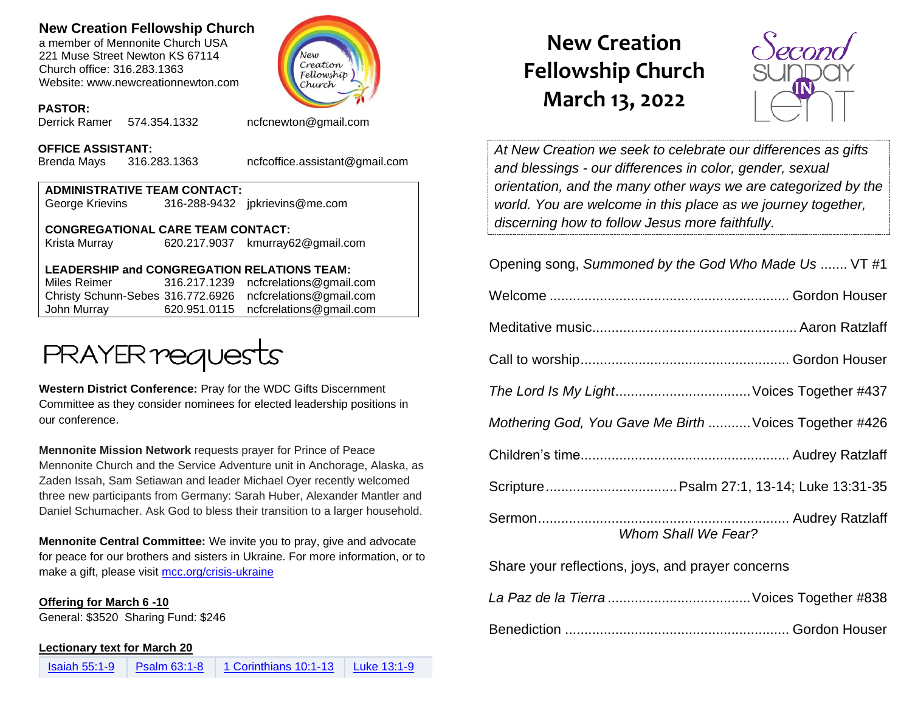## **New Creation Fellowship Church**

a member of Mennonite Church USA 221 Muse Street Newton KS 67114 Church office: 316.283.1363 Website: www.newcreationnewton.com



#### **PASTOR:**

Derrick Ramer 574.354.1332 [ncfcnewton@gmail.com](mailto:ncfcnewton@gmail.com)

#### **OFFICE ASSISTANT:**

Brenda Mays 316.283.1363 ncfcoffice.assistant@gmail.com

| <b>ADMINISTRATIVE TEAM CONTACT:</b> |  |                                |  |  |
|-------------------------------------|--|--------------------------------|--|--|
| George Krievins                     |  | 316-288-9432 jpkrievins@me.com |  |  |
|                                     |  |                                |  |  |

**CONGREGATIONAL CARE TEAM CONTACT:** Krista Murray 620.217.9037 [kmurray62@gmail.com](mailto:kmurray62@gmail.com)

### **LEADERSHIP and CONGREGATION RELATIONS TEAM:**

Miles Reimer [316.217.1239](mailto:316.217.1239) [ncfcrelations@gmail.com](mailto:ncfcrelations@gmail.com) Christy Schunn-Sebes 316.772.6926 [ncfcrelations@gmail.com](mailto:ncfcrelations@gmail.com) John Murray 620.951.0115 [ncfcrelations@gmail.com](mailto:ncfcrelations@gmail.com)



**Western District Conference:** Pray for the WDC Gifts Discernment Committee as they consider nominees for elected leadership positions in our conference.

**Mennonite Mission Network** requests prayer for Prince of Peace Mennonite Church and the Service Adventure unit in Anchorage, Alaska, as Zaden Issah, Sam Setiawan and leader Michael Oyer recently welcomed three new participants from Germany: Sarah Huber, Alexander Mantler and Daniel Schumacher. Ask God to bless their transition to a larger household.

**Mennonite Central Committee:** We invite you to pray, give and advocate for peace for our brothers and sisters in Ukraine. For more information, or to make a gift, please visit [mcc.org/crisis-ukraine](http://mcc.org/crisis-ukraine?fbclid=IwAR0c-53c7C4FM1XoJLmZVUiscLn80-OwBM93hF9fCX94KcCV2I3DpwO6V7Q)

#### **Offering for March 6 -10**

General: \$3520 Sharing Fund: \$246

#### **Lectionary text for March 20**

# **New Creation Fellowship Church March 13, 2022**



*At New Creation we seek to celebrate our differences as gifts and blessings - our differences in color, gender, sexual orientation, and the many other ways we are categorized by the world. You are welcome in this place as we journey together, discerning how to follow Jesus more faithfully.*

| Opening song, Summoned by the God Who Made Us  VT #1   |  |  |  |
|--------------------------------------------------------|--|--|--|
|                                                        |  |  |  |
|                                                        |  |  |  |
|                                                        |  |  |  |
|                                                        |  |  |  |
| Mothering God, You Gave Me Birth  Voices Together #426 |  |  |  |
|                                                        |  |  |  |
|                                                        |  |  |  |
| Whom Shall We Fear?                                    |  |  |  |
| Share your reflections, joys, and prayer concerns      |  |  |  |

*La Paz de la Tierra* .....................................Voices Together #838